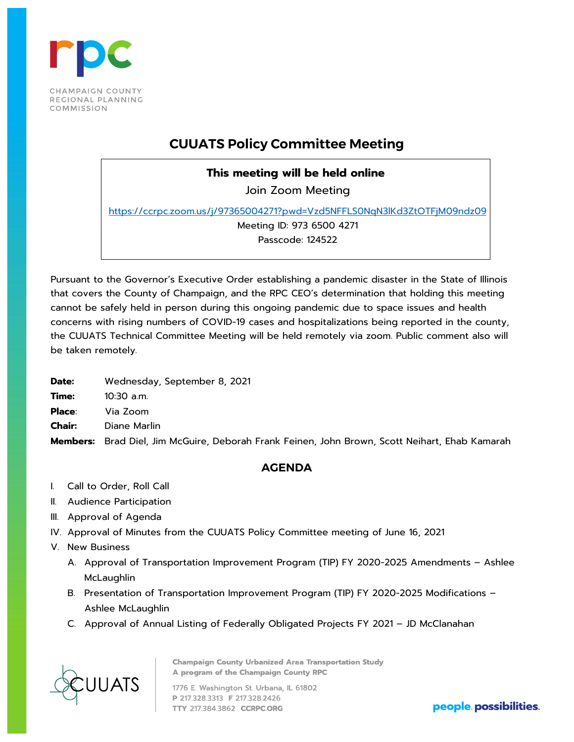

## **CUUATS Policy Committee Meeting**

## **This meeting will be held online**

Join Zoom Meeting

<https://ccrpc.zoom.us/j/97365004271?pwd=Vzd5NFFLS0NqN3lKd3ZtOTFjM09ndz09>

Meeting ID: 973 6500 4271

Passcode: 124522

Pursuant to the Governor's Executive Order establishing a pandemic disaster in the State of Illinois that covers the County of Champaign, and the RPC CEO's determination that holding this meeting cannot be safely held in person during this ongoing pandemic due to space issues and health concerns with rising numbers of COVID-19 cases and hospitalizations being reported in the county, the CUUATS Technical Committee Meeting will be held remotely via zoom. Public comment also will be taken remotely.

**Date:** Wednesday, September 8, 2021

**Time:** 10:30 a.m.

**Place**: Via Zoom

**Chair:** Diane Marlin

**Members:** Brad Diel, Jim McGuire, Deborah Frank Feinen, John Brown, Scott Neihart, Ehab Kamarah

## **AGENDA**

- I. Call to Order, Roll Call
- II. Audience Participation
- III. Approval of Agenda
- IV. Approval of Minutes from the CUUATS Policy Committee meeting of June 16, 2021
- V. New Business
	- A. Approval of Transportation Improvement Program (TIP) FY 2020-2025 Amendments Ashlee **McLaughlin**
	- B. Presentation of Transportation Improvement Program (TIP) FY 2020-2025 Modifications Ashlee McLaughlin
	- C. Approval of Annual Listing of Federally Obligated Projects FY 2021 JD McClanahan

UUATS

**Champaign County Urbanized Area Transportation Study** A program of the Champaign County RPC

1776 E. Washington St. Urbana, IL 61802 P 217.328.3313 F 217.328.2426 TTY 217.384.3862 CCRPC.ORG